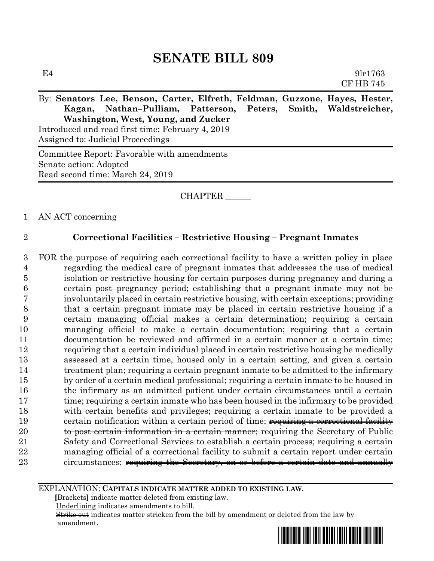# **SENATE BILL 809**

| E4                                                                          | 9 <sub>1</sub> r1763 |
|-----------------------------------------------------------------------------|----------------------|
|                                                                             | <b>CF HB 745</b>     |
| By: Senators Lee, Benson, Carter, Elfreth, Feldman, Guzzone, Hayes, Hester, |                      |
| Kagan, Nathan-Pulliam, Patterson, Peters, Smith, Waldstreicher,             |                      |
| Washington, West, Young, and Zucker                                         |                      |
| Introduced and read first time: February 4, 2019                            |                      |
| Assigned to: Judicial Proceedings                                           |                      |

Committee Report: Favorable with amendments Senate action: Adopted Read second time: March 24, 2019

### CHAPTER \_\_\_\_\_\_

#### 1 AN ACT concerning

### 2 **Correctional Facilities – Restrictive Housing – Pregnant Inmates**

 FOR the purpose of requiring each correctional facility to have a written policy in place regarding the medical care of pregnant inmates that addresses the use of medical isolation or restrictive housing for certain purposes during pregnancy and during a certain post–pregnancy period; establishing that a pregnant inmate may not be involuntarily placed in certain restrictive housing, with certain exceptions; providing that a certain pregnant inmate may be placed in certain restrictive housing if a certain managing official makes a certain determination; requiring a certain managing official to make a certain documentation; requiring that a certain documentation be reviewed and affirmed in a certain manner at a certain time; requiring that a certain individual placed in certain restrictive housing be medically assessed at a certain time, housed only in a certain setting, and given a certain treatment plan; requiring a certain pregnant inmate to be admitted to the infirmary by order of a certain medical professional; requiring a certain inmate to be housed in the infirmary as an admitted patient under certain circumstances until a certain 17 time; requiring a certain inmate who has been housed in the infirmary to be provided with certain benefits and privileges; requiring a certain inmate to be provided a 19 certain notification within a certain period of time; requiring a correctional facility **to post certain information in a certain manner**; requiring the Secretary of Public Safety and Correctional Services to establish a certain process; requiring a certain managing official of a correctional facility to submit a certain report under certain 23 circumstances; requiring the Secretary, on or before a certain date and annually

#### EXPLANATION: **CAPITALS INDICATE MATTER ADDED TO EXISTING LAW**.

 **[**Brackets**]** indicate matter deleted from existing law.

Underlining indicates amendments to bill.

 Strike out indicates matter stricken from the bill by amendment or deleted from the law by amendment.

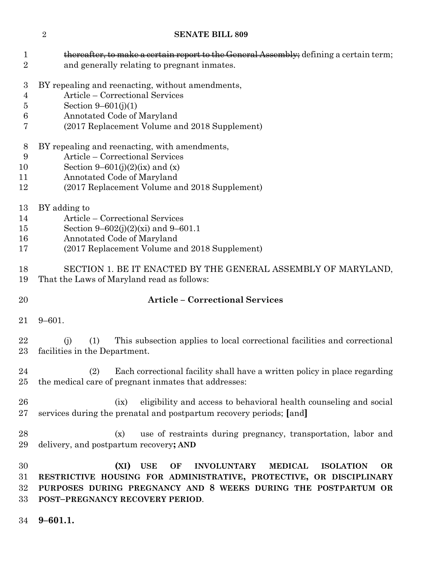| 1<br>$\overline{2}$                               | thereafter, to make a certain report to the General Assembly; defining a certain term;<br>and generally relating to pregnant inmates.                                                                                                                                         |
|---------------------------------------------------|-------------------------------------------------------------------------------------------------------------------------------------------------------------------------------------------------------------------------------------------------------------------------------|
| $\boldsymbol{3}$<br>4<br>$\overline{5}$<br>6<br>7 | BY repealing and reenacting, without amendments,<br>Article – Correctional Services<br>Section $9 - 601(j)(1)$<br>Annotated Code of Maryland<br>(2017 Replacement Volume and 2018 Supplement)                                                                                 |
| 8<br>9<br>10<br>11<br>12                          | BY repealing and reenacting, with amendments,<br>Article – Correctional Services<br>Section 9–601(j)(2)(ix) and (x)<br>Annotated Code of Maryland<br>(2017 Replacement Volume and 2018 Supplement)                                                                            |
| 13<br>14<br>15<br>16<br>17                        | BY adding to<br>Article – Correctional Services<br>Section 9–602(j)(2)(xi) and 9–601.1<br>Annotated Code of Maryland<br>(2017 Replacement Volume and 2018 Supplement)                                                                                                         |
| 18<br>19                                          | SECTION 1. BE IT ENACTED BY THE GENERAL ASSEMBLY OF MARYLAND,<br>That the Laws of Maryland read as follows:                                                                                                                                                                   |
| 20                                                | <b>Article - Correctional Services</b>                                                                                                                                                                                                                                        |
| 21                                                | $9 - 601.$                                                                                                                                                                                                                                                                    |
| 22<br>23                                          | (1)<br>This subsection applies to local correctional facilities and correctional<br>(i)<br>facilities in the Department.                                                                                                                                                      |
| 24<br>25                                          | Each correctional facility shall have a written policy in place regarding<br>(2)<br>the medical care of pregnant inmates that addresses:                                                                                                                                      |
| 26<br>27                                          | eligibility and access to behavioral health counseling and social<br>(ix)<br>services during the prenatal and postpartum recovery periods; [and]                                                                                                                              |
| 28<br>29                                          | use of restraints during pregnancy, transportation, labor and<br>(x)<br>delivery, and postpartum recovery; AND                                                                                                                                                                |
| 30<br>31<br>32<br>33                              | (XI)<br><b>USE</b><br><b>INVOLUNTARY</b><br><b>MEDICAL</b><br>OF<br><b>ISOLATION</b><br><b>OR</b><br>RESTRICTIVE HOUSING FOR ADMINISTRATIVE, PROTECTIVE, OR DISCIPLINARY<br>PURPOSES DURING PREGNANCY AND 8 WEEKS DURING THE POSTPARTUM OR<br>POST-PREGNANCY RECOVERY PERIOD. |

**SENATE BILL 809**

**9–601.1.**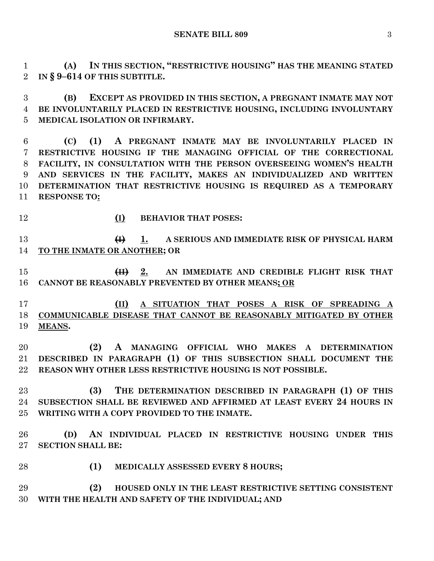**SENATE BILL 809** 3

 **(A) IN THIS SECTION, "RESTRICTIVE HOUSING" HAS THE MEANING STATED IN § 9–614 OF THIS SUBTITLE.**

 **(B) EXCEPT AS PROVIDED IN THIS SECTION, A PREGNANT INMATE MAY NOT BE INVOLUNTARILY PLACED IN RESTRICTIVE HOUSING, INCLUDING INVOLUNTARY MEDICAL ISOLATION OR INFIRMARY.**

 **(C) (1) A PREGNANT INMATE MAY BE INVOLUNTARILY PLACED IN RESTRICTIVE HOUSING IF THE MANAGING OFFICIAL OF THE CORRECTIONAL FACILITY, IN CONSULTATION WITH THE PERSON OVERSEEING WOMEN'S HEALTH AND SERVICES IN THE FACILITY, MAKES AN INDIVIDUALIZED AND WRITTEN DETERMINATION THAT RESTRICTIVE HOUSING IS REQUIRED AS A TEMPORARY RESPONSE TO:**

- 
- **(I) BEHAVIOR THAT POSES:**

 **(I) 1. A SERIOUS AND IMMEDIATE RISK OF PHYSICAL HARM TO THE INMATE OR ANOTHER; OR** 

 **(II) 2. AN IMMEDIATE AND CREDIBLE FLIGHT RISK THAT CANNOT BE REASONABLY PREVENTED BY OTHER MEANS; OR**

 **(II) A SITUATION THAT POSES A RISK OF SPREADING A COMMUNICABLE DISEASE THAT CANNOT BE REASONABLY MITIGATED BY OTHER MEANS.**

 **(2) A MANAGING OFFICIAL WHO MAKES A DETERMINATION DESCRIBED IN PARAGRAPH (1) OF THIS SUBSECTION SHALL DOCUMENT THE REASON WHY OTHER LESS RESTRICTIVE HOUSING IS NOT POSSIBLE.**

 **(3) THE DETERMINATION DESCRIBED IN PARAGRAPH (1) OF THIS SUBSECTION SHALL BE REVIEWED AND AFFIRMED AT LEAST EVERY 24 HOURS IN WRITING WITH A COPY PROVIDED TO THE INMATE.**

 **(D) AN INDIVIDUAL PLACED IN RESTRICTIVE HOUSING UNDER THIS SECTION SHALL BE:**

**(1) MEDICALLY ASSESSED EVERY 8 HOURS;**

 **(2) HOUSED ONLY IN THE LEAST RESTRICTIVE SETTING CONSISTENT WITH THE HEALTH AND SAFETY OF THE INDIVIDUAL; AND**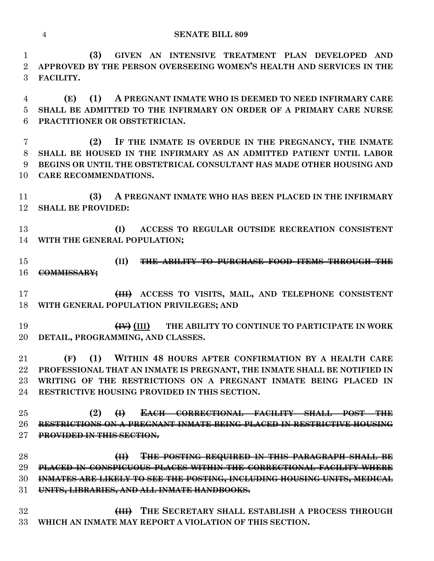**(3) GIVEN AN INTENSIVE TREATMENT PLAN DEVELOPED AND APPROVED BY THE PERSON OVERSEEING WOMEN'S HEALTH AND SERVICES IN THE FACILITY.**

 **(E) (1) A PREGNANT INMATE WHO IS DEEMED TO NEED INFIRMARY CARE SHALL BE ADMITTED TO THE INFIRMARY ON ORDER OF A PRIMARY CARE NURSE PRACTITIONER OR OBSTETRICIAN.**

 **(2) IF THE INMATE IS OVERDUE IN THE PREGNANCY, THE INMATE SHALL BE HOUSED IN THE INFIRMARY AS AN ADMITTED PATIENT UNTIL LABOR BEGINS OR UNTIL THE OBSTETRICAL CONSULTANT HAS MADE OTHER HOUSING AND CARE RECOMMENDATIONS.**

 **(3) A PREGNANT INMATE WHO HAS BEEN PLACED IN THE INFIRMARY SHALL BE PROVIDED:**

 **(I) ACCESS TO REGULAR OUTSIDE RECREATION CONSISTENT WITH THE GENERAL POPULATION;**

 **(II) THE ABILITY TO PURCHASE FOOD ITEMS THROUGH THE COMMISSARY;**

 **(III) ACCESS TO VISITS, MAIL, AND TELEPHONE CONSISTENT WITH GENERAL POPULATION PRIVILEGES; AND**

 **(IV) (III) THE ABILITY TO CONTINUE TO PARTICIPATE IN WORK DETAIL, PROGRAMMING, AND CLASSES.**

 **(F) (1) WITHIN 48 HOURS AFTER CONFIRMATION BY A HEALTH CARE PROFESSIONAL THAT AN INMATE IS PREGNANT, THE INMATE SHALL BE NOTIFIED IN WRITING OF THE RESTRICTIONS ON A PREGNANT INMATE BEING PLACED IN RESTRICTIVE HOUSING PROVIDED IN THIS SECTION.**

 **(2) (I) EACH CORRECTIONAL FACILITY SHALL POST THE RESTRICTIONS ON A PREGNANT INMATE BEING PLACED IN RESTRICTIVE HOUSING PROVIDED IN THIS SECTION.**

 **(II) THE POSTING REQUIRED IN THIS PARAGRAPH SHALL BE PLACED IN CONSPICUOUS PLACES WITHIN THE CORRECTIONAL FACILITY WHERE INMATES ARE LIKELY TO SEE THE POSTING, INCLUDING HOUSING UNITS, MEDICAL UNITS, LIBRARIES, AND ALL INMATE HANDBOOKS.**

 **(III) THE SECRETARY SHALL ESTABLISH A PROCESS THROUGH WHICH AN INMATE MAY REPORT A VIOLATION OF THIS SECTION.**